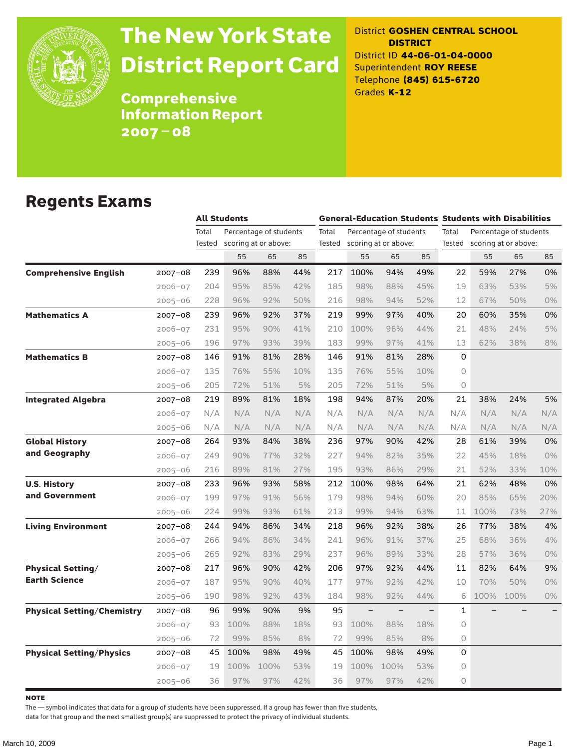

# The New York State District Report Card

District **GOSHEN CENTRAL SCHOOL DISTRICT** District ID **44-06-01-04-0000** Superintendent **ROY REESE** Telephone **(845) 615-6720** Grades **K-12**

**Comprehensive** Information Report 2007–08

### Regents Exams

|                                   |             | <b>All Students</b> |      |                        |     | <b>General-Education Students Students with Disabilities</b> |      |                        |     |                                 |                      |      |       |
|-----------------------------------|-------------|---------------------|------|------------------------|-----|--------------------------------------------------------------|------|------------------------|-----|---------------------------------|----------------------|------|-------|
|                                   |             | Total               |      | Percentage of students |     | Total                                                        |      | Percentage of students |     | Total<br>Percentage of students |                      |      |       |
|                                   |             | Tested              |      | scoring at or above:   |     | Tested                                                       |      | scoring at or above:   |     | Tested                          | scoring at or above: |      |       |
|                                   |             |                     | 55   | 65                     | 85  |                                                              | 55   | 65                     | 85  |                                 | 55                   | 65   | 85    |
| <b>Comprehensive English</b>      | $2007 - 08$ | 239                 | 96%  | 88%                    | 44% | 217                                                          | 100% | 94%                    | 49% | 22                              | 59%                  | 27%  | 0%    |
|                                   | 2006-07     | 204                 | 95%  | 85%                    | 42% | 185                                                          | 98%  | 88%                    | 45% | 19                              | 63%                  | 53%  | 5%    |
|                                   | $2005 - 06$ | 228                 | 96%  | 92%                    | 50% | 216                                                          | 98%  | 94%                    | 52% | 12                              | 67%                  | 50%  | 0%    |
| <b>Mathematics A</b>              | $2007 - 08$ | 239                 | 96%  | 92%                    | 37% | 219                                                          | 99%  | 97%                    | 40% | 20                              | 60%                  | 35%  | 0%    |
|                                   | $2006 - 07$ | 231                 | 95%  | 90%                    | 41% | 210                                                          | 100% | 96%                    | 44% | 21                              | 48%                  | 24%  | 5%    |
|                                   | $2005 - 06$ | 196                 | 97%  | 93%                    | 39% | 183                                                          | 99%  | 97%                    | 41% | 13                              | 62%                  | 38%  | 8%    |
| <b>Mathematics B</b>              | $2007 - 08$ | 146                 | 91%  | 81%                    | 28% | 146                                                          | 91%  | 81%                    | 28% | 0                               |                      |      |       |
|                                   | $2006 - 07$ | 135                 | 76%  | 55%                    | 10% | 135                                                          | 76%  | 55%                    | 10% | $\Omega$                        |                      |      |       |
|                                   | 2005-06     | 205                 | 72%  | 51%                    | 5%  | 205                                                          | 72%  | 51%                    | 5%  | $\Omega$                        |                      |      |       |
| <b>Integrated Algebra</b>         | 2007–08     | 219                 | 89%  | 81%                    | 18% | 198                                                          | 94%  | 87%                    | 20% | 21                              | 38%                  | 24%  | 5%    |
|                                   | $2006 - 07$ | N/A                 | N/A  | N/A                    | N/A | N/A                                                          | N/A  | N/A                    | N/A | N/A                             | N/A                  | N/A  | N/A   |
|                                   | $2005 - 06$ | N/A                 | N/A  | N/A                    | N/A | N/A                                                          | N/A  | N/A                    | N/A | N/A                             | N/A                  | N/A  | N/A   |
| <b>Global History</b>             | $2007 - 08$ | 264                 | 93%  | 84%                    | 38% | 236                                                          | 97%  | 90%                    | 42% | 28                              | 61%                  | 39%  | 0%    |
| and Geography                     | $2006 - 07$ | 249                 | 90%  | 77%                    | 32% | 227                                                          | 94%  | 82%                    | 35% | 22                              | 45%                  | 18%  | 0%    |
|                                   | $2005 - 06$ | 216                 | 89%  | 81%                    | 27% | 195                                                          | 93%  | 86%                    | 29% | 21                              | 52%                  | 33%  | 10%   |
| <b>U.S. History</b>               | 2007-08     | 233                 | 96%  | 93%                    | 58% | 212                                                          | 100% | 98%                    | 64% | 21                              | 62%                  | 48%  | 0%    |
| and Government                    | $2006 - 07$ | 199                 | 97%  | 91%                    | 56% | 179                                                          | 98%  | 94%                    | 60% | 20                              | 85%                  | 65%  | 20%   |
|                                   | $2005 - 06$ | 224                 | 99%  | 93%                    | 61% | 213                                                          | 99%  | 94%                    | 63% | 11                              | 100%                 | 73%  | 27%   |
| <b>Living Environment</b>         | 2007-08     | 244                 | 94%  | 86%                    | 34% | 218                                                          | 96%  | 92%                    | 38% | 26                              | 77%                  | 38%  | 4%    |
|                                   | $2006 - 07$ | 266                 | 94%  | 86%                    | 34% | 241                                                          | 96%  | 91%                    | 37% | 25                              | 68%                  | 36%  | 4%    |
|                                   | $2005 - 06$ | 265                 | 92%  | 83%                    | 29% | 237                                                          | 96%  | 89%                    | 33% | 28                              | 57%                  | 36%  | 0%    |
| <b>Physical Setting/</b>          | 2007-08     | 217                 | 96%  | 90%                    | 42% | 206                                                          | 97%  | 92%                    | 44% | 11                              | 82%                  | 64%  | 9%    |
| <b>Earth Science</b>              | $2006 - 07$ | 187                 | 95%  | 90%                    | 40% | 177                                                          | 97%  | 92%                    | 42% | 10                              | 70%                  | 50%  | $0\%$ |
|                                   | $2005 - 06$ | 190                 | 98%  | 92%                    | 43% | 184                                                          | 98%  | 92%                    | 44% | 6                               | 100%                 | 100% | $0\%$ |
| <b>Physical Setting/Chemistry</b> | 2007-08     | 96                  | 99%  | 90%                    | 9%  | 95                                                           |      | $\qquad \qquad -$      |     | $\mathbf{1}$                    |                      |      |       |
|                                   | $2006 - 07$ | 93                  | 100% | 88%                    | 18% | 93                                                           | 100% | 88%                    | 18% | $\Omega$                        |                      |      |       |
|                                   | $2005 - 06$ | 72                  | 99%  | 85%                    | 8%  | 72                                                           | 99%  | 85%                    | 8%  | 0                               |                      |      |       |
| <b>Physical Setting/Physics</b>   | 2007-08     | 45                  | 100% | 98%                    | 49% | 45                                                           | 100% | 98%                    | 49% | 0                               |                      |      |       |
|                                   | $2006 - 07$ | 19                  | 100% | 100%                   | 53% | 19                                                           | 100% | 100%                   | 53% | 0                               |                      |      |       |
|                                   | $2005 - 06$ | 36                  | 97%  | 97%                    | 42% | 36                                                           | 97%  | 97%                    | 42% | 0                               |                      |      |       |

**NOTE** 

The — symbol indicates that data for a group of students have been suppressed. If a group has fewer than five students,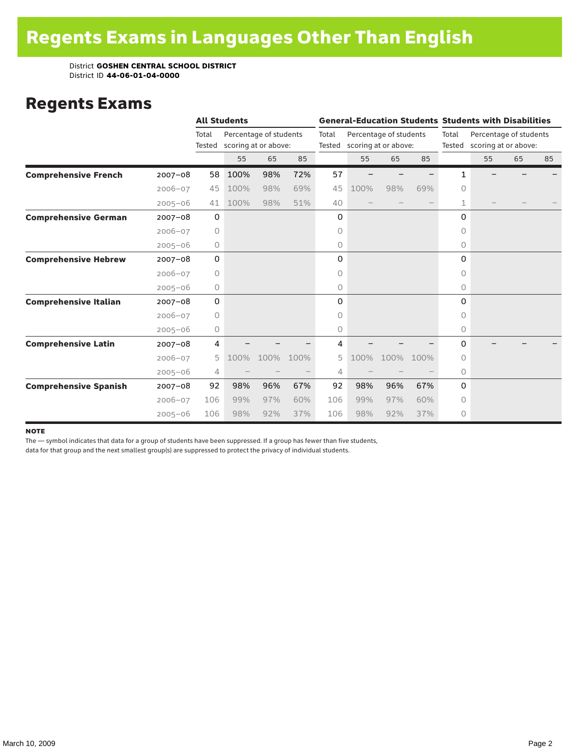#### Regents Exams

|                              |             |                 | <b>All Students</b>  |                        |      |       | <b>General-Education Students Students with Disabilities</b> |      |      |          |                                                       |    |    |  |
|------------------------------|-------------|-----------------|----------------------|------------------------|------|-------|--------------------------------------------------------------|------|------|----------|-------------------------------------------------------|----|----|--|
|                              |             | Total<br>Tested | scoring at or above: | Percentage of students |      | Total | Percentage of students<br>Tested scoring at or above:        |      |      | Total    | Percentage of students<br>Tested scoring at or above: |    |    |  |
|                              |             |                 | 55                   | 65                     | 85   |       | 55                                                           | 65   | 85   |          | 55                                                    | 65 | 85 |  |
| <b>Comprehensive French</b>  | $2007 - 08$ | 58              | 100%                 | 98%                    | 72%  | 57    |                                                              |      |      | 1        |                                                       |    |    |  |
|                              | $2006 - 07$ | 45              | 100%                 | 98%                    | 69%  | 45    | 100%                                                         | 98%  | 69%  | $\Omega$ |                                                       |    |    |  |
|                              | $2005 - 06$ | 41              | 100%                 | 98%                    | 51%  | 40    |                                                              |      |      | 1        |                                                       |    |    |  |
| <b>Comprehensive German</b>  | $2007 - 08$ | 0               |                      |                        |      | 0     |                                                              |      |      | 0        |                                                       |    |    |  |
|                              | $2006 - 07$ | 0               |                      |                        |      | 0     |                                                              |      |      | 0        |                                                       |    |    |  |
|                              | $2005 - 06$ | 0               |                      |                        |      | 0     |                                                              |      |      | $\circ$  |                                                       |    |    |  |
| <b>Comprehensive Hebrew</b>  | $2007 - 08$ | 0               |                      |                        |      | 0     |                                                              |      |      | $\Omega$ |                                                       |    |    |  |
|                              | $2006 - 07$ | 0               |                      |                        |      | 0     |                                                              |      |      | $\Omega$ |                                                       |    |    |  |
|                              | $2005 - 06$ | 0               |                      |                        |      | 0     |                                                              |      |      | 0        |                                                       |    |    |  |
| <b>Comprehensive Italian</b> | $2007 - 08$ | 0               |                      |                        |      | 0     |                                                              |      |      | 0        |                                                       |    |    |  |
|                              | $2006 - 07$ | 0               |                      |                        |      | 0     |                                                              |      |      | $\Omega$ |                                                       |    |    |  |
|                              | $2005 - 06$ | 0               |                      |                        |      | 0     |                                                              |      |      | 0        |                                                       |    |    |  |
| <b>Comprehensive Latin</b>   | $2007 - 08$ | 4               |                      |                        |      | 4     |                                                              |      |      | 0        |                                                       |    |    |  |
|                              | $2006 - 07$ | 5               | 100%                 | 100%                   | 100% | 5     | 100%                                                         | 100% | 100% | $\Omega$ |                                                       |    |    |  |
|                              | $2005 - 06$ | 4               |                      |                        |      | 4     |                                                              |      |      | 0        |                                                       |    |    |  |
| <b>Comprehensive Spanish</b> | $2007 - 08$ | 92              | 98%                  | 96%                    | 67%  | 92    | 98%                                                          | 96%  | 67%  | $\Omega$ |                                                       |    |    |  |
|                              | $2006 - 07$ | 106             | 99%                  | 97%                    | 60%  | 106   | 99%                                                          | 97%  | 60%  | 0        |                                                       |    |    |  |
|                              | $2005 - 06$ | 106             | 98%                  | 92%                    | 37%  | 106   | 98%                                                          | 92%  | 37%  | $\circ$  |                                                       |    |    |  |

#### **NOTE**

The — symbol indicates that data for a group of students have been suppressed. If a group has fewer than five students,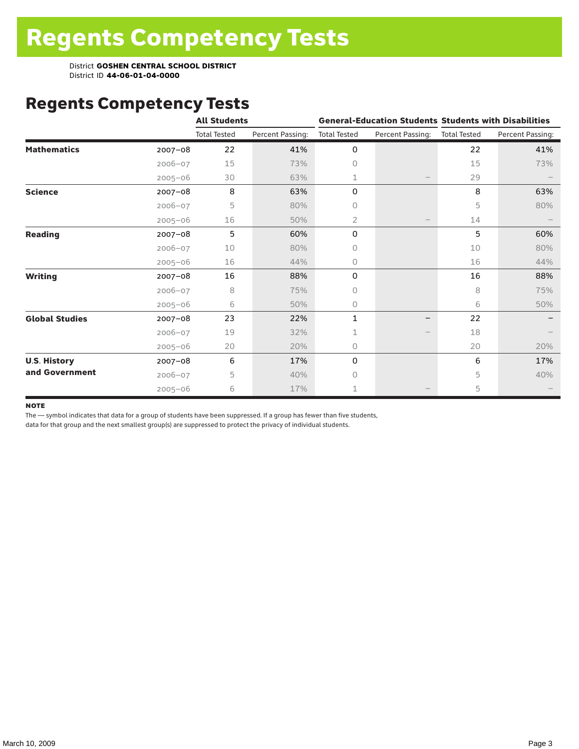# Regents Competency Tests

|                       |             | <b>All Students</b> |                  |                     | <b>General-Education Students Students with Disabilities</b> |                     |                  |
|-----------------------|-------------|---------------------|------------------|---------------------|--------------------------------------------------------------|---------------------|------------------|
|                       |             | <b>Total Tested</b> | Percent Passing: | <b>Total Tested</b> | Percent Passing:                                             | <b>Total Tested</b> | Percent Passing: |
| <b>Mathematics</b>    | $2007 - 08$ | 22                  | 41%              | 0                   |                                                              | 22                  | 41%              |
|                       | $2006 - 07$ | 15                  | 73%              | 0                   |                                                              | 15                  | 73%              |
|                       | $2005 - 06$ | 30                  | 63%              | 1                   |                                                              | 29                  |                  |
| <b>Science</b>        | $2007 - 08$ | 8                   | 63%              | 0                   |                                                              | 8                   | 63%              |
|                       | $2006 - 07$ | 5                   | 80%              | 0                   |                                                              | 5                   | 80%              |
|                       | $2005 - 06$ | 16                  | 50%              | 2                   |                                                              | 14                  |                  |
| <b>Reading</b>        | $2007 - 08$ | 5                   | 60%              | 0                   |                                                              | 5                   | 60%              |
|                       | $2006 - 07$ | 10                  | 80%              | 0                   |                                                              | 10                  | 80%              |
|                       | $2005 - 06$ | 16                  | 44%              | 0                   |                                                              | 16                  | 44%              |
| <b>Writing</b>        | $2007 - 08$ | 16                  | 88%              | 0                   |                                                              | 16                  | 88%              |
|                       | $2006 - 07$ | 8                   | 75%              | 0                   |                                                              | 8                   | 75%              |
|                       | $2005 - 06$ | 6                   | 50%              | 0                   |                                                              | 6                   | 50%              |
| <b>Global Studies</b> | $2007 - 08$ | 23                  | 22%              | 1                   |                                                              | 22                  |                  |
|                       | $2006 - 07$ | 19                  | 32%              | 1                   |                                                              | 18                  |                  |
|                       | $2005 - 06$ | 20                  | 20%              | 0                   |                                                              | 20                  | 20%              |
| <b>U.S. History</b>   | 2007-08     | 6                   | 17%              | 0                   |                                                              | 6                   | 17%              |
| and Government        | $2006 - 07$ | 5                   | 40%              | $\bigcap$           |                                                              | 5                   | 40%              |
|                       | $2005 - 06$ | 6                   | 17%              | 1                   |                                                              | 5                   |                  |

#### **NOTE**

The — symbol indicates that data for a group of students have been suppressed. If a group has fewer than five students,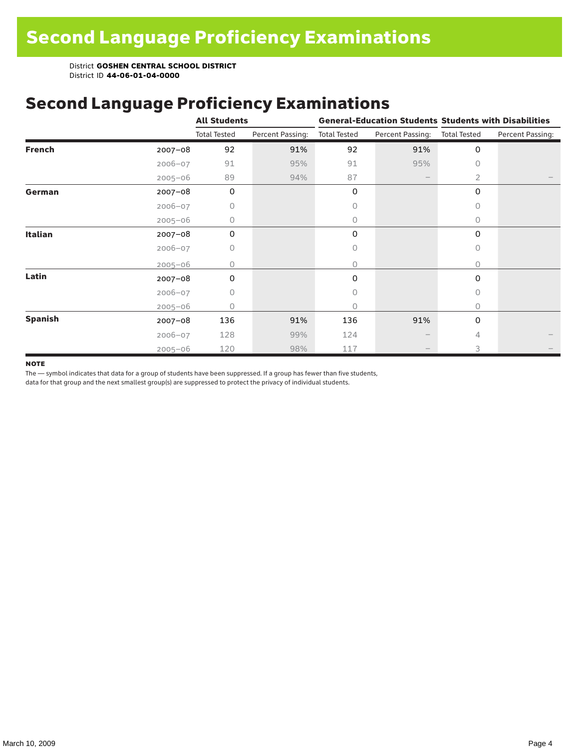### Second Language Proficiency Examinations

|                |             | <b>All Students</b> |                  |                     |                  | <b>General-Education Students Students with Disabilities</b> |                  |  |
|----------------|-------------|---------------------|------------------|---------------------|------------------|--------------------------------------------------------------|------------------|--|
|                |             | <b>Total Tested</b> | Percent Passing: | <b>Total Tested</b> | Percent Passing: | <b>Total Tested</b>                                          | Percent Passing: |  |
| <b>French</b>  | $2007 - 08$ | 92                  | 91%              | 92                  | 91%              | 0                                                            |                  |  |
|                | $2006 - 07$ | 91                  | 95%              | 91                  | 95%              | $\Omega$                                                     |                  |  |
|                | $2005 - 06$ | 89                  | 94%              | 87                  |                  | 2                                                            |                  |  |
| German         | $2007 - 08$ | $\mathbf 0$         |                  | 0                   |                  | 0                                                            |                  |  |
|                | $2006 - 07$ | 0                   |                  | 0                   |                  | 0                                                            |                  |  |
|                | $2005 - 06$ | 0                   |                  | 0                   |                  | $\circ$                                                      |                  |  |
| <b>Italian</b> | $2007 - 08$ | 0                   |                  | 0                   |                  | 0                                                            |                  |  |
|                | $2006 - 07$ | 0                   |                  | 0                   |                  | $\circ$                                                      |                  |  |
|                | $2005 - 06$ | 0                   |                  | 0                   |                  | $\circ$                                                      |                  |  |
| Latin          | $2007 - 08$ | 0                   |                  | 0                   |                  | 0                                                            |                  |  |
|                | $2006 - 07$ | 0                   |                  | 0                   |                  | 0                                                            |                  |  |
|                | $2005 - 06$ | O                   |                  | 0                   |                  | $\circ$                                                      |                  |  |
| <b>Spanish</b> | $2007 - 08$ | 136                 | 91%              | 136                 | 91%              | $\mathbf 0$                                                  |                  |  |
|                | $2006 - 07$ | 128                 | 99%              | 124                 |                  | 4                                                            |                  |  |
|                | $2005 - 06$ | 120                 | 98%              | 117                 |                  | 3                                                            |                  |  |

#### **NOTE**

The — symbol indicates that data for a group of students have been suppressed. If a group has fewer than five students,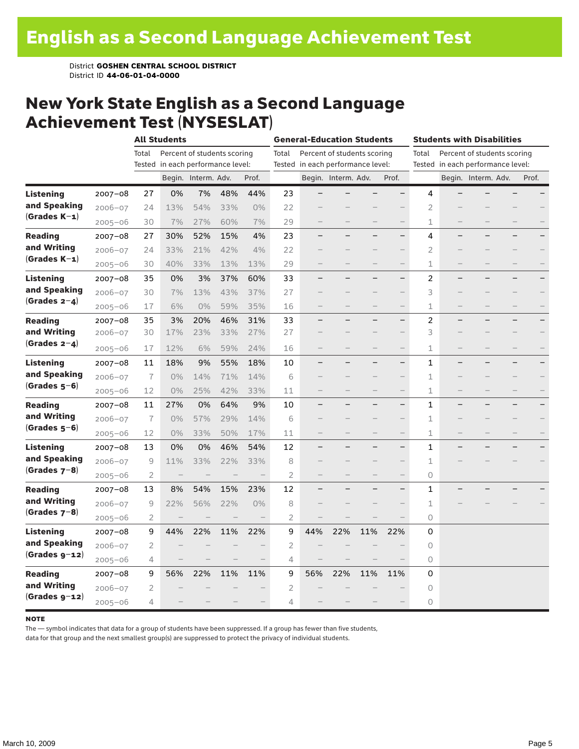#### New York State English as a Second Language Achievement Test (NYSESLAT)

|                  |             |                | <b>All Students</b>               |                     |                             |       |                | <b>General-Education Students</b> |                             |     |                          | <b>Students with Disabilities</b> |  |                                   |  |       |
|------------------|-------------|----------------|-----------------------------------|---------------------|-----------------------------|-------|----------------|-----------------------------------|-----------------------------|-----|--------------------------|-----------------------------------|--|-----------------------------------|--|-------|
|                  |             | Total          |                                   |                     | Percent of students scoring |       | Total          |                                   | Percent of students scoring |     |                          | Total                             |  | Percent of students scoring       |  |       |
|                  |             |                | Tested in each performance level: |                     |                             |       |                | Tested in each performance level: |                             |     |                          |                                   |  | Tested in each performance level: |  |       |
|                  |             |                |                                   | Begin. Interm. Adv. |                             | Prof. |                |                                   | Begin. Interm. Adv.         |     | Prof.                    |                                   |  | Begin. Interm. Adv.               |  | Prof. |
| <b>Listening</b> | $2007 - 08$ | 27             | 0%                                | 7%                  | 48%                         | 44%   | 23             |                                   |                             |     |                          | 4                                 |  |                                   |  |       |
| and Speaking     | $2006 - 07$ | 24             | 13%                               | 54%                 | 33%                         | 0%    | 22             |                                   |                             |     |                          | $\overline{2}$                    |  |                                   |  |       |
| $(Grades K-1)$   | $2005 - 06$ | 30             | 7%                                | 27%                 | 60%                         | 7%    | 29             |                                   |                             |     |                          | 1                                 |  |                                   |  |       |
| <b>Reading</b>   | $2007 - 08$ | 27             | 30%                               | 52%                 | 15%                         | 4%    | 23             |                                   |                             |     | -                        | 4                                 |  |                                   |  |       |
| and Writing      | $2006 - 07$ | 24             | 33%                               | 21%                 | 42%                         | 4%    | 22             |                                   |                             |     |                          | $\overline{2}$                    |  |                                   |  |       |
| $(Grades K-1)$   | $2005 - 06$ | 30             | 40%                               | 33%                 | 13%                         | 13%   | 29             |                                   |                             |     | $\qquad \qquad -$        | 1                                 |  |                                   |  |       |
| <b>Listening</b> | $2007 - 08$ | 35             | 0%                                | 3%                  | 37%                         | 60%   | 33             |                                   |                             |     |                          | 2                                 |  |                                   |  |       |
| and Speaking     | $2006 - 07$ | 30             | 7%                                | 13%                 | 43%                         | 37%   | 27             |                                   |                             |     |                          | 3                                 |  |                                   |  |       |
| (Grades $2-4$ )  | $2005 - 06$ | 17             | 6%                                | 0%                  | 59%                         | 35%   | 16             |                                   |                             |     |                          | 1                                 |  |                                   |  |       |
| <b>Reading</b>   | $2007 - 08$ | 35             | 3%                                | 20%                 | 46%                         | 31%   | 33             |                                   |                             |     | $\overline{\phantom{0}}$ | 2                                 |  |                                   |  |       |
| and Writing      | $2006 - 07$ | 30             | 17%                               | 23%                 | 33%                         | 27%   | 27             |                                   |                             |     |                          | 3                                 |  |                                   |  |       |
| (Grades $2-4$ )  | $2005 - 06$ | 17             | 12%                               | 6%                  | 59%                         | 24%   | 16             |                                   |                             |     | $\overline{\phantom{0}}$ | 1                                 |  |                                   |  |       |
| <b>Listening</b> | $2007 - 08$ | 11             | 18%                               | 9%                  | 55%                         | 18%   | 10             |                                   |                             |     | —                        | 1                                 |  |                                   |  |       |
| and Speaking     | $2006 - 07$ | $\overline{7}$ | 0%                                | 14%                 | 71%                         | 14%   | 6              |                                   |                             |     |                          | 1                                 |  |                                   |  |       |
| $(Grades 5-6)$   | $2005 - 06$ | 12             | 0%                                | 25%                 | 42%                         | 33%   | 11             |                                   |                             |     | $\qquad \qquad -$        | 1                                 |  |                                   |  |       |
| Reading          | $2007 - 08$ | 11             | 27%                               | 0%                  | 64%                         | 9%    | 10             |                                   |                             |     | $\overline{\phantom{0}}$ | 1                                 |  |                                   |  |       |
| and Writing      | $2006 - 07$ | $\overline{1}$ | 0%                                | 57%                 | 29%                         | 14%   | 6              |                                   |                             |     | $\qquad \qquad -$        | 1                                 |  |                                   |  |       |
| $(Grades 5-6)$   | $2005 - 06$ | 12             | 0%                                | 33%                 | 50%                         | 17%   | 11             |                                   |                             |     |                          | 1                                 |  |                                   |  |       |
| Listening        | $2007 - 08$ | 13             | 0%                                | 0%                  | 46%                         | 54%   | 12             |                                   |                             |     | -                        | 1                                 |  |                                   |  |       |
| and Speaking     | $2006 - 07$ | 9              | 11%                               | 33%                 | 22%                         | 33%   | 8              |                                   |                             |     |                          | 1                                 |  |                                   |  |       |
| (Grades $7-8$ )  | $2005 - 06$ | $\overline{2}$ | $\qquad \qquad$                   |                     |                             |       | $\overline{2}$ |                                   |                             |     |                          | 0                                 |  |                                   |  |       |
| <b>Reading</b>   | $2007 - 08$ | 13             | 8%                                | 54%                 | 15%                         | 23%   | 12             |                                   |                             |     | $\overline{\phantom{0}}$ | 1                                 |  |                                   |  |       |
| and Writing      | $2006 - 07$ | 9              | 22%                               | 56%                 | 22%                         | 0%    | 8              |                                   |                             |     |                          | 1                                 |  |                                   |  |       |
| (Grades $7-8$ )  | $2005 - 06$ | 2              |                                   |                     |                             |       | $\overline{2}$ |                                   |                             |     |                          | 0                                 |  |                                   |  |       |
| Listening        | $2007 - 08$ | 9              | 44%                               | 22%                 | 11%                         | 22%   | 9              | 44%                               | 22%                         | 11% | 22%                      | 0                                 |  |                                   |  |       |
| and Speaking     | $2006 - 07$ | 2              |                                   |                     |                             |       | $\overline{2}$ |                                   |                             |     |                          | 0                                 |  |                                   |  |       |
| $(Grades g-12)$  | $2005 - 06$ | 4              |                                   |                     |                             |       | 4              |                                   |                             |     |                          | 0                                 |  |                                   |  |       |
| <b>Reading</b>   | $2007 - 08$ | 9              | 56%                               | 22%                 | 11%                         | 11%   | 9              | 56%                               | 22%                         | 11% | 11%                      | 0                                 |  |                                   |  |       |
| and Writing      | $2006 - 07$ | 2              |                                   |                     |                             |       | $\overline{c}$ |                                   |                             |     |                          | $\circ$                           |  |                                   |  |       |
| $(Grades g-12)$  | $2005 - 06$ | 4              |                                   |                     |                             |       | 4              |                                   |                             |     |                          | 0                                 |  |                                   |  |       |

#### **NOTE**

The — symbol indicates that data for a group of students have been suppressed. If a group has fewer than five students,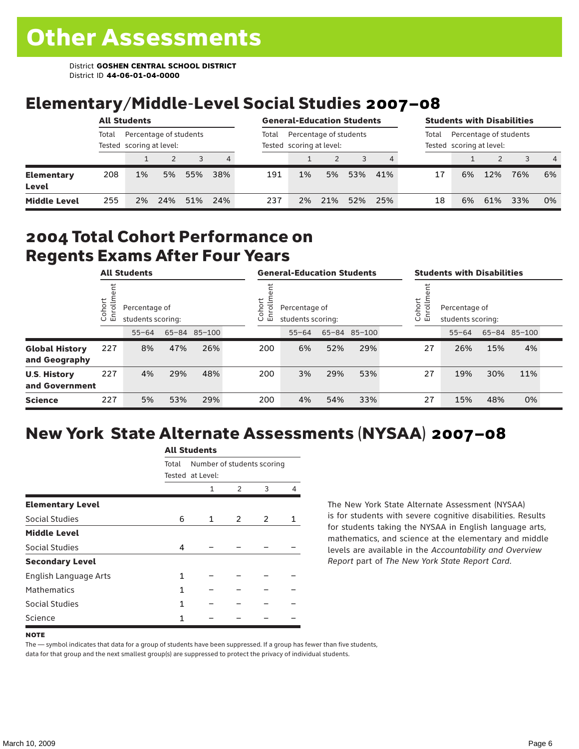### Elementary/Middle-Level Social Studies 2007–08

|                            | <b>All Students</b> |                                                    |     |     |     | <b>General-Education Students</b> |                                                    |     |     |     | <b>Students with Disabilities</b>                           |    |     |     |                |
|----------------------------|---------------------|----------------------------------------------------|-----|-----|-----|-----------------------------------|----------------------------------------------------|-----|-----|-----|-------------------------------------------------------------|----|-----|-----|----------------|
|                            | Total               | Percentage of students<br>Tested scoring at level: |     |     |     | Total                             | Percentage of students<br>Tested scoring at level: |     |     |     | Percentage of students<br>Total<br>Tested scoring at level: |    |     |     |                |
|                            |                     |                                                    |     | 3   | 4   |                                   |                                                    |     |     |     |                                                             |    |     |     | $\overline{4}$ |
| <b>Elementary</b><br>Level | 208                 | 1%                                                 | 5%  | 55% | 38% | 191                               | 1%                                                 | 5%  | 53% | 41% | 17                                                          | 6% | 12% | 76% | 6%             |
| <b>Middle Level</b>        | 255                 | 2%                                                 | 24% | 51% | 24% | 237                               | 2%                                                 | 21% | 52% | 25% | 18                                                          | 6% | 61% | 33% | 0%             |

#### 2004 Total Cohort Performance on Regents Exams After Four Years

|                                        |                               | <b>All Students</b>                                |     |     |                        | <b>General-Education Students</b>  |     |              | <b>Students with Disabilities</b> |    |                                                                |     |              |  |  |
|----------------------------------------|-------------------------------|----------------------------------------------------|-----|-----|------------------------|------------------------------------|-----|--------------|-----------------------------------|----|----------------------------------------------------------------|-----|--------------|--|--|
|                                        | Cohort<br>$=$<br>$\circ$<br>面 | Percentage of<br>students scoring:<br>65-84 85-100 |     |     | Cohort<br>Ξ<br>ò,<br>모 | Percentage of<br>students scoring: |     |              |                                   |    | Cohort<br>$=$<br>Percentage of<br>Ò,<br>문<br>students scoring: |     |              |  |  |
|                                        |                               | $55 - 64$                                          |     |     |                        | $55 - 64$                          |     | 65-84 85-100 |                                   |    | $55 - 64$                                                      |     | 65-84 85-100 |  |  |
| <b>Global History</b><br>and Geography | 227                           | 8%                                                 | 47% | 26% | 200                    | 6%                                 | 52% | 29%          |                                   | 27 | 26%                                                            | 15% | 4%           |  |  |
| <b>U.S. History</b><br>and Government  | 227                           | 4%                                                 | 29% | 48% | 200                    | 3%                                 | 29% | 53%          |                                   | 27 | 19%                                                            | 30% | 11%          |  |  |
| <b>Science</b>                         | 227                           | 5%                                                 | 53% | 29% | 200                    | 4%                                 | 54% | 33%          |                                   | 27 | 15%                                                            | 48% | 0%           |  |  |

# New York State Alternate Assessments (NYSAA) 2007–08

|                         |       | AIL SLUUCIILS              |   |   |   |
|-------------------------|-------|----------------------------|---|---|---|
|                         | Total | Number of students scoring |   |   |   |
|                         |       | Tested at Level:           |   |   |   |
|                         |       | 1                          | 2 | 3 | 4 |
| <b>Elementary Level</b> |       |                            |   |   |   |
| <b>Social Studies</b>   | 6     | 1                          | 2 | 2 |   |
| <b>Middle Level</b>     |       |                            |   |   |   |
| <b>Social Studies</b>   | 4     |                            |   |   |   |
| <b>Secondary Level</b>  |       |                            |   |   |   |
| English Language Arts   | 1     |                            |   |   |   |
| <b>Mathematics</b>      | 1     |                            |   |   |   |
| Social Studies          | 1     |                            |   |   |   |
| Science                 | 1     |                            |   |   |   |

All C<sub>tude</sub>

The New York State Alternate Assessment (NYSAA) is for students with severe cognitive disabilities. Results for students taking the NYSAA in English language arts, mathematics, and science at the elementary and middle levels are available in the *Accountability and Overview Report* part of *The New York State Report Card*.

The — symbol indicates that data for a group of students have been suppressed. If a group has fewer than five students, data for that group and the next smallest group(s) are suppressed to protect the privacy of individual students.

**NOTE**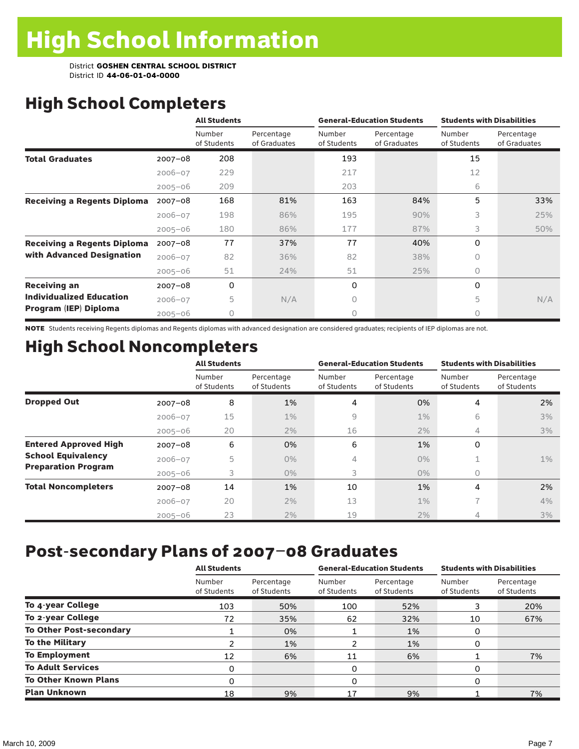# High School Completers

|                                    |             | <b>All Students</b>   |                            |                       | <b>General-Education Students</b> | <b>Students with Disabilities</b> |                            |
|------------------------------------|-------------|-----------------------|----------------------------|-----------------------|-----------------------------------|-----------------------------------|----------------------------|
|                                    |             | Number<br>of Students | Percentage<br>of Graduates | Number<br>of Students | Percentage<br>of Graduates        | Number<br>of Students             | Percentage<br>of Graduates |
| <b>Total Graduates</b>             | $2007 - 08$ | 208                   |                            | 193                   |                                   | 15                                |                            |
|                                    | $2006 - 07$ | 229                   |                            | 217                   |                                   | 12                                |                            |
|                                    | $2005 - 06$ | 209                   |                            | 203                   |                                   | 6                                 |                            |
| <b>Receiving a Regents Diploma</b> | $2007 - 08$ | 168                   | 81%                        | 163                   | 84%                               | 5                                 | 33%                        |
|                                    | $2006 - 07$ | 198                   | 86%                        | 195                   | 90%                               | 3                                 | 25%                        |
|                                    | $2005 - 06$ | 180                   | 86%                        | 177                   | 87%                               | 3                                 | 50%                        |
| <b>Receiving a Regents Diploma</b> | $2007 - 08$ | 77                    | 37%                        | 77                    | 40%                               | 0                                 |                            |
| with Advanced Designation          | $2006 - 07$ | 82                    | 36%                        | 82                    | 38%                               | 0                                 |                            |
|                                    | $2005 - 06$ | 51                    | 24%                        | 51                    | 25%                               | 0                                 |                            |
| <b>Receiving an</b>                | $2007 - 08$ | 0                     |                            | 0                     |                                   | 0                                 |                            |
| <b>Individualized Education</b>    | $2006 - 07$ | 5                     | N/A                        | 0                     |                                   | 5                                 | N/A                        |
| Program (IEP) Diploma              | $2005 - 06$ | 0                     |                            | 0                     |                                   | 0                                 |                            |

NOTE Students receiving Regents diplomas and Regents diplomas with advanced designation are considered graduates; recipients of IEP diplomas are not.

# High School Noncompleters

|                              |             | <b>All Students</b>   |                           |                       | <b>General-Education Students</b> | <b>Students with Disabilities</b> |                           |
|------------------------------|-------------|-----------------------|---------------------------|-----------------------|-----------------------------------|-----------------------------------|---------------------------|
|                              |             | Number<br>of Students | Percentage<br>of Students | Number<br>of Students | Percentage<br>of Students         | Number<br>of Students             | Percentage<br>of Students |
| <b>Dropped Out</b>           | $2007 - 08$ | 8                     | 1%                        | 4                     | 0%                                | 4                                 | 2%                        |
|                              | $2006 - 07$ | 15                    | $1\%$                     | 9                     | $1\%$                             | 6                                 | 3%                        |
|                              | $2005 - 06$ | 20                    | 2%                        | 16                    | 2%                                | 4                                 | 3%                        |
| <b>Entered Approved High</b> | $2007 - 08$ | 6                     | 0%                        | 6                     | 1%                                | 0                                 |                           |
| <b>School Equivalency</b>    | $2006 - 07$ | 5                     | $0\%$                     | 4                     | $0\%$                             | Ŧ.                                | $1\%$                     |
| <b>Preparation Program</b>   | $2005 - 06$ | 3                     | $0\%$                     | 3                     | $0\%$                             | 0                                 |                           |
| <b>Total Noncompleters</b>   | $2007 - 08$ | 14                    | 1%                        | 10                    | 1%                                | 4                                 | 2%                        |
|                              | $2006 - 07$ | 20                    | 2%                        | 13                    | $1\%$                             | $\overline{\phantom{a}}$          | 4%                        |
|                              | $2005 - 06$ | 23                    | 2%                        | 19                    | 2%                                | 4                                 | 3%                        |

## Post-secondary Plans of 2007–08 Graduates

|                                | <b>All Students</b>   |                           |                       | <b>General-Education Students</b> | <b>Students with Disabilities</b> |                           |  |
|--------------------------------|-----------------------|---------------------------|-----------------------|-----------------------------------|-----------------------------------|---------------------------|--|
|                                | Number<br>of Students | Percentage<br>of Students | Number<br>of Students | Percentage<br>of Students         | Number<br>of Students             | Percentage<br>of Students |  |
| To 4-year College              | 103                   | 50%                       | 100                   | 52%                               | 3                                 | 20%                       |  |
| To 2-year College              | 72                    | 35%                       | 62                    | 32%                               | 10                                | 67%                       |  |
| <b>To Other Post-secondary</b> |                       | 0%                        |                       | 1%                                | 0                                 |                           |  |
| <b>To the Military</b>         |                       | 1%                        |                       | 1%                                | 0                                 |                           |  |
| <b>To Employment</b>           | 12                    | 6%                        | 11                    | 6%                                |                                   | 7%                        |  |
| <b>To Adult Services</b>       | 0                     |                           | 0                     |                                   | 0                                 |                           |  |
| <b>To Other Known Plans</b>    | 0                     |                           | 0                     |                                   | 0                                 |                           |  |
| <b>Plan Unknown</b>            | 18                    | 9%                        | 17                    | 9%                                |                                   | 7%                        |  |